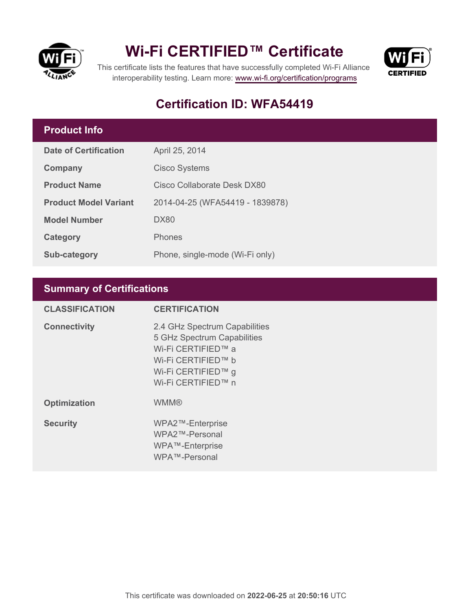

# **Wi-Fi CERTIFIED™ Certificate**



This certificate lists the features that have successfully completed Wi-Fi Alliance interoperability testing. Learn more:<www.wi-fi.org/certification/programs>

## **Certification ID: WFA54419**

#### **Product Info**

| <b>Date of Certification</b> | April 25, 2014                  |
|------------------------------|---------------------------------|
| Company                      | <b>Cisco Systems</b>            |
| <b>Product Name</b>          | Cisco Collaborate Desk DX80     |
| <b>Product Model Variant</b> | 2014-04-25 (WFA54419 - 1839878) |
| <b>Model Number</b>          | DX80                            |
| Category                     | Phones                          |
| Sub-category                 | Phone, single-mode (Wi-Fi only) |

### **Summary of Certifications**

| <b>CLASSIFICATION</b> | <b>CERTIFICATION</b>                                                                                                                                 |
|-----------------------|------------------------------------------------------------------------------------------------------------------------------------------------------|
| <b>Connectivity</b>   | 2.4 GHz Spectrum Capabilities<br>5 GHz Spectrum Capabilities<br>Wi-Fi CERTIFIED™ a<br>Wi-Fi CERTIFIED™ b<br>Wi-Fi CERTIFIED™ g<br>Wi-Fi CERTIFIED™ n |
| <b>Optimization</b>   | <b>WMM®</b>                                                                                                                                          |
| <b>Security</b>       | WPA2™-Enterprise<br>WPA2™-Personal<br>WPA™-Enterprise<br>WPA™-Personal                                                                               |